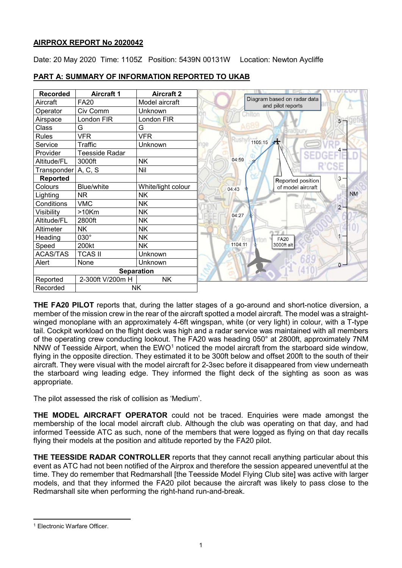## **AIRPROX REPORT No 2020042**

Date: 20 May 2020 Time: 1105Z Position: 5439N 00131W Location: Newton Aycliffe

| <b>Recorded</b> | <b>Aircraft 1</b>     | <b>Aircraft 2</b>  |                                                  |
|-----------------|-----------------------|--------------------|--------------------------------------------------|
| Aircraft        | <b>FA20</b>           | Model aircraft     | Diagram based on radar data<br>and pilot reports |
| Operator        | Civ Comm              | Unknown            | Chilton                                          |
| Airspace        | London FIR            | London FIR         |                                                  |
| Class           | G                     | G                  |                                                  |
| <b>Rules</b>    | <b>VFR</b>            | <b>VFR</b>         |                                                  |
| Service         | Traffic               | Unknown            | 1105:15                                          |
| Provider        | <b>Teesside Radar</b> |                    |                                                  |
| Altitude/FL     | 3000ft                | <b>NK</b>          | 04:59                                            |
| Transponder     | A, C, S               | Nil                |                                                  |
| <b>Reported</b> |                       |                    | Reported position                                |
| Colours         | Blue/white            | White/light colour | of model aircraft<br>04:43                       |
| Lighting        | <b>NR</b>             | <b>NK</b>          |                                                  |
| Conditions      | <b>VMC</b>            | <b>NK</b>          | <b>Fistot</b>                                    |
| Visibility      | $>10$ Km              | <b>NK</b>          | 04:27                                            |
| Altitude/FL     | 2800ft                | <b>NK</b>          |                                                  |
| Altimeter       | <b>NK</b>             | <b>NK</b>          |                                                  |
| Heading         | 030°                  | <b>NK</b>          | <b>FA20</b>                                      |
| Speed           | 200kt                 | <b>NK</b>          | 1104:11<br>3000ft alt                            |
| <b>ACAS/TAS</b> | <b>TCAS II</b>        | Unknown            |                                                  |
| Alert           | None                  | Unknown            |                                                  |
|                 | <b>Separation</b>     |                    |                                                  |
| Reported        | 2-300ft V/200m H      | <b>NK</b>          |                                                  |
| Recorded        | <b>NK</b>             |                    |                                                  |

# **PART A: SUMMARY OF INFORMATION REPORTED TO UKAB**

**THE FA20 PILOT** reports that, during the latter stages of a go-around and short-notice diversion, a member of the mission crew in the rear of the aircraft spotted a model aircraft. The model was a straightwinged monoplane with an approximately 4-6ft wingspan, white (or very light) in colour, with a T-type tail. Cockpit workload on the flight deck was high and a radar service was maintained with all members of the operating crew conducting lookout. The FA20 was heading 050° at 2800ft, approximately 7NM NNW of Teesside Airport, when the  $EWO<sup>1</sup>$  $EWO<sup>1</sup>$  $EWO<sup>1</sup>$  noticed the model aircraft from the starboard side window, flying in the opposite direction. They estimated it to be 300ft below and offset 200ft to the south of their aircraft. They were visual with the model aircraft for 2-3sec before it disappeared from view underneath the starboard wing leading edge. They informed the flight deck of the sighting as soon as was appropriate.

The pilot assessed the risk of collision as 'Medium'.

**THE MODEL AIRCRAFT OPERATOR** could not be traced. Enquiries were made amongst the membership of the local model aircraft club. Although the club was operating on that day, and had informed Teesside ATC as such, none of the members that were logged as flying on that day recalls flying their models at the position and altitude reported by the FA20 pilot.

**THE TEESSIDE RADAR CONTROLLER** reports that they cannot recall anything particular about this event as ATC had not been notified of the Airprox and therefore the session appeared uneventful at the time. They do remember that Redmarshall [the Teesside Model Flying Club site] was active with larger models, and that they informed the FA20 pilot because the aircraft was likely to pass close to the Redmarshall site when performing the right-hand run-and-break.

<span id="page-0-0"></span>l <sup>1</sup> Electronic Warfare Officer.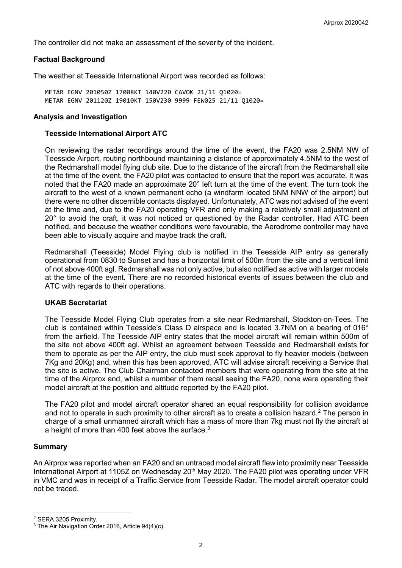The controller did not make an assessment of the severity of the incident.

## **Factual Background**

The weather at Teesside International Airport was recorded as follows:

METAR EGNV 201050Z 17008KT 140V220 CAVOK 21/11 Q1020= METAR EGNV 201120Z 19010KT 150V230 9999 FEW025 21/11 Q1020=

## **Analysis and Investigation**

## **Teesside International Airport ATC**

On reviewing the radar recordings around the time of the event, the FA20 was 2.5NM NW of Teesside Airport, routing northbound maintaining a distance of approximately 4.5NM to the west of the Redmarshall model flying club site. Due to the distance of the aircraft from the Redmarshall site at the time of the event, the FA20 pilot was contacted to ensure that the report was accurate. It was noted that the FA20 made an approximate 20° left turn at the time of the event. The turn took the aircraft to the west of a known permanent echo (a windfarm located 5NM NNW of the airport) but there were no other discernible contacts displayed. Unfortunately, ATC was not advised of the event at the time and, due to the FA20 operating VFR and only making a relatively small adjustment of 20° to avoid the craft, it was not noticed or questioned by the Radar controller. Had ATC been notified, and because the weather conditions were favourable, the Aerodrome controller may have been able to visually acquire and maybe track the craft.

Redmarshall (Teesside) Model Flying club is notified in the Teesside AIP entry as generally operational from 0830 to Sunset and has a horizontal limit of 500m from the site and a vertical limit of not above 400ft agl. Redmarshall was not only active, but also notified as active with larger models at the time of the event. There are no recorded historical events of issues between the club and ATC with regards to their operations.

## **UKAB Secretariat**

The Teesside Model Flying Club operates from a site near Redmarshall, Stockton-on-Tees. The club is contained within Teesside's Class D airspace and is located 3.7NM on a bearing of 016° from the airfield. The Teesside AIP entry states that the model aircraft will remain within 500m of the site not above 400ft agl. Whilst an agreement between Teesside and Redmarshall exists for them to operate as per the AIP entry, the club must seek approval to fly heavier models (between 7Kg and 20Kg) and, when this has been approved, ATC will advise aircraft receiving a Service that the site is active. The Club Chairman contacted members that were operating from the site at the time of the Airprox and, whilst a number of them recall seeing the FA20, none were operating their model aircraft at the position and altitude reported by the FA20 pilot.

The FA20 pilot and model aircraft operator shared an equal responsibility for collision avoidance and not to operate in such proximity to other aircraft as to create a collision hazard. [2](#page-1-0) The person in charge of a small unmanned aircraft which has a mass of more than 7kg must not fly the aircraft at a height of more than 400 feet above the surface.<sup>[3](#page-1-1)</sup>

## **Summary**

 $\overline{\phantom{a}}$ 

An Airprox was reported when an FA20 and an untraced model aircraft flew into proximity near Teesside International Airport at 1105Z on Wednesday 20<sup>th</sup> May 2020. The FA20 pilot was operating under VFR in VMC and was in receipt of a Traffic Service from Teesside Radar. The model aircraft operator could not be traced.

<span id="page-1-0"></span><sup>2</sup> SERA.3205 Proximity.

<span id="page-1-1"></span><sup>3</sup> The Air Navigation Order 2016, Article 94(4)(c).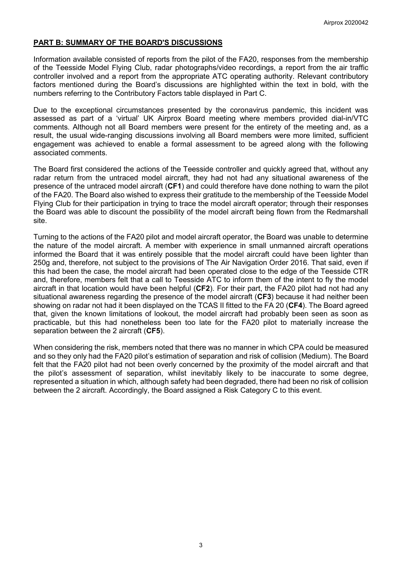## **PART B: SUMMARY OF THE BOARD'S DISCUSSIONS**

Information available consisted of reports from the pilot of the FA20, responses from the membership of the Teesside Model Flying Club, radar photographs/video recordings, a report from the air traffic controller involved and a report from the appropriate ATC operating authority. Relevant contributory factors mentioned during the Board's discussions are highlighted within the text in bold, with the numbers referring to the Contributory Factors table displayed in Part C.

Due to the exceptional circumstances presented by the coronavirus pandemic, this incident was assessed as part of a 'virtual' UK Airprox Board meeting where members provided dial-in/VTC comments. Although not all Board members were present for the entirety of the meeting and, as a result, the usual wide-ranging discussions involving all Board members were more limited, sufficient engagement was achieved to enable a formal assessment to be agreed along with the following associated comments.

The Board first considered the actions of the Teesside controller and quickly agreed that, without any radar return from the untraced model aircraft, they had not had any situational awareness of the presence of the untraced model aircraft (**CF1**) and could therefore have done nothing to warn the pilot of the FA20. The Board also wished to express their gratitude to the membership of the Teesside Model Flying Club for their participation in trying to trace the model aircraft operator; through their responses the Board was able to discount the possibility of the model aircraft being flown from the Redmarshall site.

Turning to the actions of the FA20 pilot and model aircraft operator, the Board was unable to determine the nature of the model aircraft. A member with experience in small unmanned aircraft operations informed the Board that it was entirely possible that the model aircraft could have been lighter than 250g and, therefore, not subject to the provisions of The Air Navigation Order 2016. That said, even if this had been the case, the model aircraft had been operated close to the edge of the Teesside CTR and, therefore, members felt that a call to Teesside ATC to inform them of the intent to fly the model aircraft in that location would have been helpful (**CF2**). For their part, the FA20 pilot had not had any situational awareness regarding the presence of the model aircraft (**CF3**) because it had neither been showing on radar not had it been displayed on the TCAS II fitted to the FA 20 (**CF4**). The Board agreed that, given the known limitations of lookout, the model aircraft had probably been seen as soon as practicable, but this had nonetheless been too late for the FA20 pilot to materially increase the separation between the 2 aircraft (**CF5**).

When considering the risk, members noted that there was no manner in which CPA could be measured and so they only had the FA20 pilot's estimation of separation and risk of collision (Medium). The Board felt that the FA20 pilot had not been overly concerned by the proximity of the model aircraft and that the pilot's assessment of separation, whilst inevitably likely to be inaccurate to some degree, represented a situation in which, although safety had been degraded, there had been no risk of collision between the 2 aircraft. Accordingly, the Board assigned a Risk Category C to this event.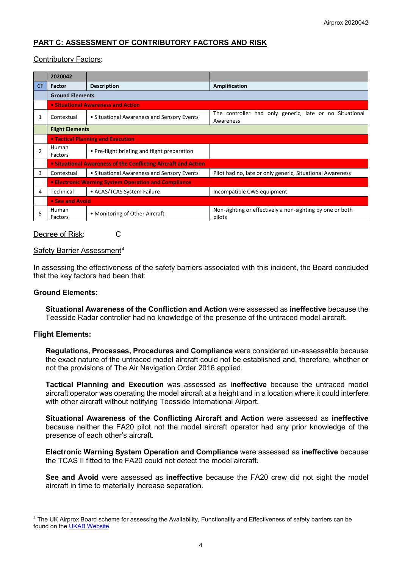# **PART C: ASSESSMENT OF CONTRIBUTORY FACTORS AND RISK**

## Contributory Factors:

|     | 2020042                                                        |                                              |                                                                      |  |  |  |
|-----|----------------------------------------------------------------|----------------------------------------------|----------------------------------------------------------------------|--|--|--|
| CF. | <b>Factor</b>                                                  | <b>Description</b>                           | <b>Amplification</b>                                                 |  |  |  |
|     | <b>Ground Elements</b>                                         |                                              |                                                                      |  |  |  |
|     | <b>.</b> Situational Awareness and Action                      |                                              |                                                                      |  |  |  |
| 1   | Contextual                                                     | • Situational Awareness and Sensory Events   | The controller had only generic, late or no Situational<br>Awareness |  |  |  |
|     | <b>Flight Elements</b>                                         |                                              |                                                                      |  |  |  |
|     |                                                                | <b>• Tactical Planning and Execution</b>     |                                                                      |  |  |  |
| 2   | Human<br>Factors                                               | • Pre-flight briefing and flight preparation |                                                                      |  |  |  |
|     | • Situational Awareness of the Conflicting Aircraft and Action |                                              |                                                                      |  |  |  |
| 3   | Contextual                                                     | • Situational Awareness and Sensory Events   | Pilot had no, late or only generic, Situational Awareness            |  |  |  |
|     | • Electronic Warning System Operation and Compliance           |                                              |                                                                      |  |  |  |
| 4   | Technical                                                      | • ACAS/TCAS System Failure                   | Incompatible CWS equipment                                           |  |  |  |
|     | • See and Avoid                                                |                                              |                                                                      |  |  |  |
| 5   | Human<br>Factors                                               | • Monitoring of Other Aircraft               | Non-sighting or effectively a non-sighting by one or both<br>pilots  |  |  |  |

Degree of Risk: C

## Safety Barrier Assessment<sup>[4](#page-3-0)</sup>

In assessing the effectiveness of the safety barriers associated with this incident, the Board concluded that the key factors had been that:

## **Ground Elements:**

**Situational Awareness of the Confliction and Action** were assessed as **ineffective** because the Teesside Radar controller had no knowledge of the presence of the untraced model aircraft.

## **Flight Elements:**

 $\overline{\phantom{a}}$ 

**Regulations, Processes, Procedures and Compliance** were considered un-assessable because the exact nature of the untraced model aircraft could not be established and, therefore, whether or not the provisions of The Air Navigation Order 2016 applied.

**Tactical Planning and Execution** was assessed as **ineffective** because the untraced model aircraft operator was operating the model aircraft at a height and in a location where it could interfere with other aircraft without notifying Teesside International Airport.

**Situational Awareness of the Conflicting Aircraft and Action** were assessed as **ineffective** because neither the FA20 pilot not the model aircraft operator had any prior knowledge of the presence of each other's aircraft.

**Electronic Warning System Operation and Compliance** were assessed as **ineffective** because the TCAS II fitted to the FA20 could not detect the model aircraft.

**See and Avoid** were assessed as **ineffective** because the FA20 crew did not sight the model aircraft in time to materially increase separation.

<span id="page-3-0"></span><sup>4</sup> The UK Airprox Board scheme for assessing the Availability, Functionality and Effectiveness of safety barriers can be found on the [UKAB Website.](http://www.airproxboard.org.uk/Learn-more/Airprox-Barrier-Assessment/)